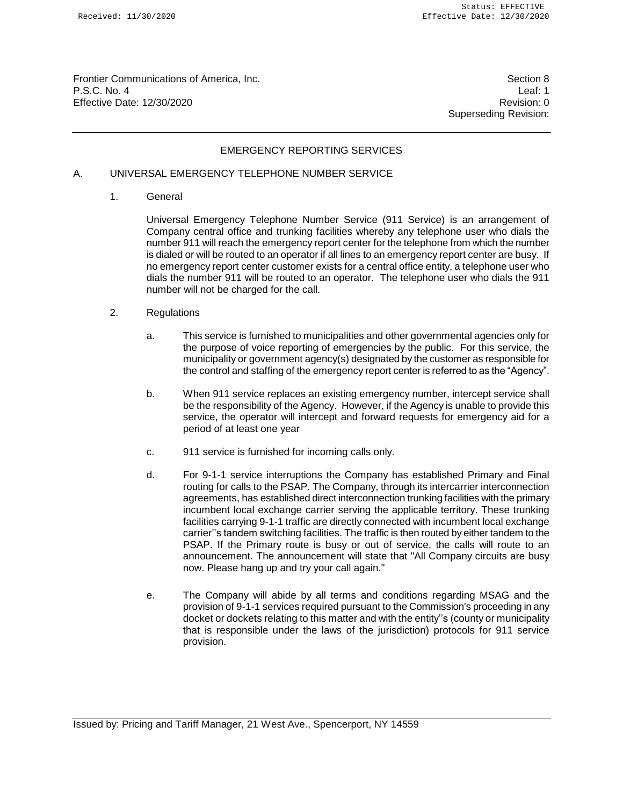Frontier Communications of America, Inc. Section 8 Section 8 P.S.C. No. 4 Leaf: 1 Effective Date: 12/30/2020 Revision: 0

Superseding Revision:

### EMERGENCY REPORTING SERVICES

# A. UNIVERSAL EMERGENCY TELEPHONE NUMBER SERVICE

1. General

Universal Emergency Telephone Number Service (911 Service) is an arrangement of Company central office and trunking facilities whereby any telephone user who dials the number 911 will reach the emergency report center for the telephone from which the number is dialed or will be routed to an operator if all lines to an emergency report center are busy. If no emergency report center customer exists for a central office entity, a telephone user who dials the number 911 will be routed to an operator. The telephone user who dials the 911 number will not be charged for the call.

- 2. Regulations
	- a. This service is furnished to municipalities and other governmental agencies only for the purpose of voice reporting of emergencies by the public. For this service, the municipality or government agency(s) designated by the customer as responsible for the control and staffing of the emergency report center is referred to as the "Agency".
	- b. When 911 service replaces an existing emergency number, intercept service shall be the responsibility of the Agency. However, if the Agency is unable to provide this service, the operator will intercept and forward requests for emergency aid for a period of at least one year
	- c. 911 service is furnished for incoming calls only.
	- d. For 9-1-1 service interruptions the Company has established Primary and Final routing for calls to the PSAP. The Company, through its intercarrier interconnection agreements, has established direct interconnection trunking facilities with the primary incumbent local exchange carrier serving the applicable territory. These trunking facilities carrying 9-1-1 traffic are directly connected with incumbent local exchange carrier''s tandem switching facilities. The traffic is then routed by either tandem to the PSAP. If the Primary route is busy or out of service, the calls will route to an announcement. The announcement will state that "All Company circuits are busy now. Please hang up and try your call again."
	- e. The Company will abide by all terms and conditions regarding MSAG and the provision of 9-1-1 services required pursuant to the Commission's proceeding in any docket or dockets relating to this matter and with the entity''s (county or municipality that is responsible under the laws of the jurisdiction) protocols for 911 service provision.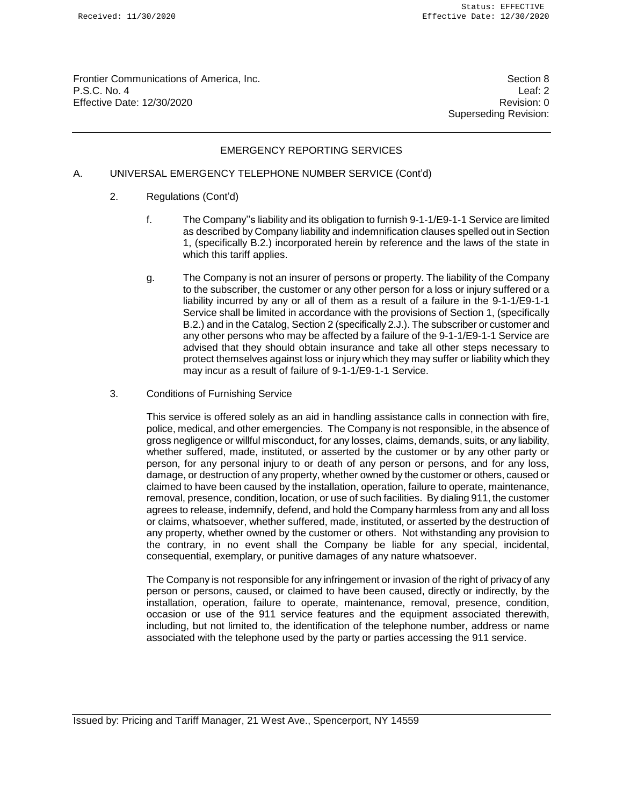Frontier Communications of America, Inc. Section 8 Section 8 P.S.C. No. 4 Leaf: 2 Effective Date: 12/30/2020 **Revision: 0 Revision: 0** 

Superseding Revision:

## EMERGENCY REPORTING SERVICES

# A. UNIVERSAL EMERGENCY TELEPHONE NUMBER SERVICE (Cont'd)

- 2. Regulations (Cont'd)
	- f. The Company''s liability and its obligation to furnish 9-1-1/E9-1-1 Service are limited as described by Company liability and indemnification clauses spelled out in Section 1, (specifically B.2.) incorporated herein by reference and the laws of the state in which this tariff applies.
	- g. The Company is not an insurer of persons or property. The liability of the Company to the subscriber, the customer or any other person for a loss or injury suffered or a liability incurred by any or all of them as a result of a failure in the 9-1-1/E9-1-1 Service shall be limited in accordance with the provisions of Section 1, (specifically B.2.) and in the Catalog, Section 2 (specifically 2.J.). The subscriber or customer and any other persons who may be affected by a failure of the 9-1-1/E9-1-1 Service are advised that they should obtain insurance and take all other steps necessary to protect themselves against loss or injury which they may suffer or liability which they may incur as a result of failure of 9-1-1/E9-1-1 Service.
- 3. Conditions of Furnishing Service

This service is offered solely as an aid in handling assistance calls in connection with fire, police, medical, and other emergencies. The Company is not responsible, in the absence of gross negligence or willful misconduct, for any losses, claims, demands, suits, or any liability, whether suffered, made, instituted, or asserted by the customer or by any other party or person, for any personal injury to or death of any person or persons, and for any loss, damage, or destruction of any property, whether owned by the customer or others, caused or claimed to have been caused by the installation, operation, failure to operate, maintenance, removal, presence, condition, location, or use of such facilities. By dialing 911, the customer agrees to release, indemnify, defend, and hold the Company harmless from any and all loss or claims, whatsoever, whether suffered, made, instituted, or asserted by the destruction of any property, whether owned by the customer or others. Not withstanding any provision to the contrary, in no event shall the Company be liable for any special, incidental, consequential, exemplary, or punitive damages of any nature whatsoever.

The Company is not responsible for any infringement or invasion of the right of privacy of any person or persons, caused, or claimed to have been caused, directly or indirectly, by the installation, operation, failure to operate, maintenance, removal, presence, condition, occasion or use of the 911 service features and the equipment associated therewith, including, but not limited to, the identification of the telephone number, address or name associated with the telephone used by the party or parties accessing the 911 service.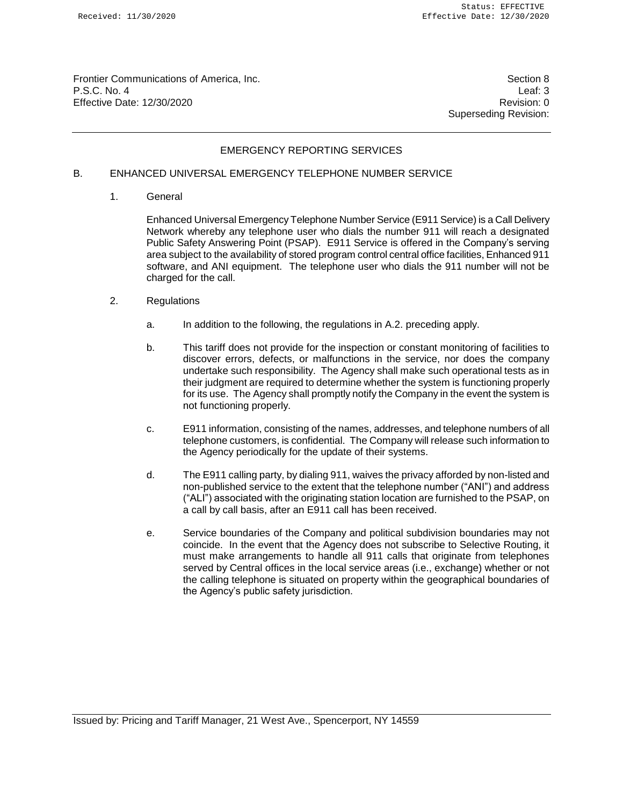Frontier Communications of America, Inc. Section 8 Section 8 P.S.C. No. 4 Leaf: 3 Effective Date: 12/30/2020 **Revision: 0 Revision: 0** 

Superseding Revision:

## EMERGENCY REPORTING SERVICES

# B. ENHANCED UNIVERSAL EMERGENCY TELEPHONE NUMBER SERVICE

1. General

Enhanced Universal Emergency Telephone Number Service (E911 Service) is a Call Delivery Network whereby any telephone user who dials the number 911 will reach a designated Public Safety Answering Point (PSAP). E911 Service is offered in the Company's serving area subject to the availability of stored program control central office facilities, Enhanced 911 software, and ANI equipment. The telephone user who dials the 911 number will not be charged for the call.

- 2. Regulations
	- a. In addition to the following, the regulations in A.2. preceding apply.
	- b. This tariff does not provide for the inspection or constant monitoring of facilities to discover errors, defects, or malfunctions in the service, nor does the company undertake such responsibility. The Agency shall make such operational tests as in their judgment are required to determine whether the system is functioning properly for its use. The Agency shall promptly notify the Company in the event the system is not functioning properly.
	- c. E911 information, consisting of the names, addresses, and telephone numbers of all telephone customers, is confidential. The Company will release such information to the Agency periodically for the update of their systems.
	- d. The E911 calling party, by dialing 911, waives the privacy afforded by non-listed and non-published service to the extent that the telephone number ("ANI") and address ("ALI") associated with the originating station location are furnished to the PSAP, on a call by call basis, after an E911 call has been received.
	- e. Service boundaries of the Company and political subdivision boundaries may not coincide. In the event that the Agency does not subscribe to Selective Routing, it must make arrangements to handle all 911 calls that originate from telephones served by Central offices in the local service areas (i.e., exchange) whether or not the calling telephone is situated on property within the geographical boundaries of the Agency's public safety jurisdiction.